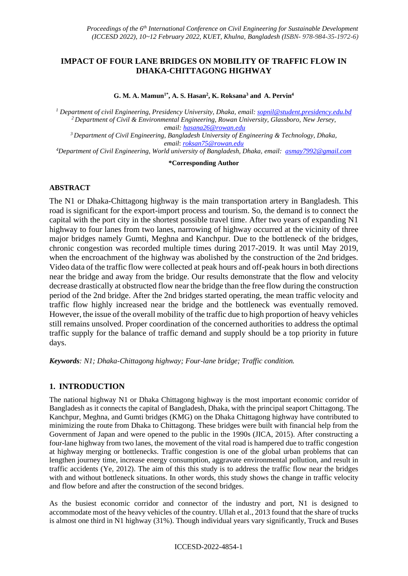# **IMPACT OF FOUR LANE BRIDGES ON MOBILITY OF TRAFFIC FLOW IN DHAKA-CHITTAGONG HIGHWAY**

**G. M. A. Mamun1\*, A. S. Hasan<sup>2</sup> , K. Roksana<sup>3</sup> and A. Pervin<sup>4</sup>**

 *Department of civil Engineering, Presidency University, Dhaka, email: [sopnil@student.presidency.edu.bd](mailto:sopnil@student.presidency.edu.bd) Department of Civil & Environmental Engineering, Rowan University, Glassboro, New Jersey, email: [hasana26@rowan.edu](mailto:hasana26@rowan.edu) Department of Civil Engineering, Bangladesh University of Engineering & Technology, Dhaka, email*: *[roksan75@rowan.edu](mailto:roksan75@rowan.edu) Department of Civil Engineering, World university of Bangladesh, Dhaka, email: [asmay7992@gmail.com](mailto:asmay7992@gmail.com)*

**\*Corresponding Author**

### **ABSTRACT**

The N1 or Dhaka-Chittagong highway is the main transportation artery in Bangladesh. This road is significant for the export-import process and tourism. So, the demand is to connect the capital with the port city in the shortest possible travel time. After two years of expanding N1 highway to four lanes from two lanes, narrowing of highway occurred at the vicinity of three major bridges namely Gumti, Meghna and Kanchpur. Due to the bottleneck of the bridges, chronic congestion was recorded multiple times during 2017-2019. It was until May 2019, when the encroachment of the highway was abolished by the construction of the 2nd bridges. Video data of the traffic flow were collected at peak hours and off-peak hours in both directions near the bridge and away from the bridge. Our results demonstrate that the flow and velocity decrease drastically at obstructed flow near the bridge than the free flow during the construction period of the 2nd bridge. After the 2nd bridges started operating, the mean traffic velocity and traffic flow highly increased near the bridge and the bottleneck was eventually removed. However, the issue of the overall mobility of the traffic due to high proportion of heavy vehicles still remains unsolved. Proper coordination of the concerned authorities to address the optimal traffic supply for the balance of traffic demand and supply should be a top priority in future days.

*Keywords: N1; Dhaka-Chittagong highway; Four-lane bridge; Traffic condition.* 

# **1. INTRODUCTION**

The national highway N1 or Dhaka Chittagong highway is the most important economic corridor of Bangladesh as it connects the capital of Bangladesh, Dhaka, with the principal seaport Chittagong. The Kanchpur, Meghna, and Gumti bridges (KMG) on the Dhaka Chittagong highway have contributed to minimizing the route from Dhaka to Chittagong. These bridges were built with financial help from the Government of Japan and were opened to the public in the 1990s (JICA, 2015). After constructing a four-lane highway from two lanes, the movement of the vital road is hampered due to traffic congestion at highway merging or bottlenecks. Traffic congestion is one of the global urban problems that can lengthen journey time, increase energy consumption, aggravate environmental pollution, and result in traffic accidents (Ye, 2012). The aim of this this study is to address the traffic flow near the bridges with and without bottleneck situations. In other words, this study shows the change in traffic velocity and flow before and after the construction of the second bridges.

As the busiest economic corridor and connector of the industry and port, N1 is designed to accommodate most of the heavy vehicles of the country. Ullah et al., 2013 found that the share of trucks is almost one third in N1 highway (31%). Though individual years vary significantly, Truck and Buses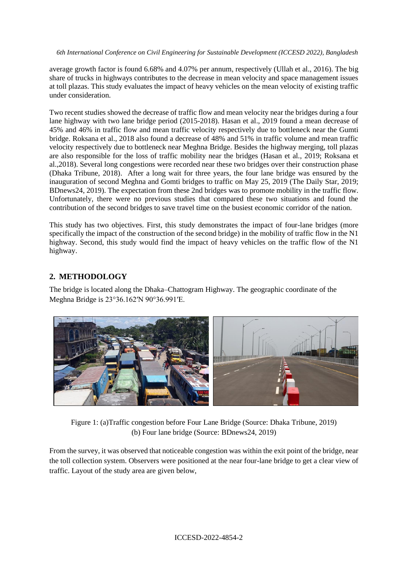average growth factor is found 6.68% and 4.07% per annum, respectively (Ullah et al., 2016). The big share of trucks in highways contributes to the decrease in mean velocity and space management issues at toll plazas. This study evaluates the impact of heavy vehicles on the mean velocity of existing traffic under consideration.

Two recent studies showed the decrease of traffic flow and mean velocity near the bridges during a four lane highway with two lane bridge period (2015-2018). Hasan et al., 2019 found a mean decrease of 45% and 46% in traffic flow and mean traffic velocity respectively due to bottleneck near the Gumti bridge. Roksana et al., 2018 also found a decrease of 48% and 51% in traffic volume and mean traffic velocity respectively due to bottleneck near Meghna Bridge. Besides the highway merging, toll plazas are also responsible for the loss of traffic mobility near the bridges (Hasan et al., 2019; Roksana et al.,2018). Several long congestions were recorded near these two bridges over their construction phase (Dhaka Tribune, 2018). After a long wait for three years, the four lane bridge was ensured by the inauguration of second Meghna and Gomti bridges to traffic on May 25, 2019 (The Daily Star, 2019; BDnews24, 2019). The expectation from these 2nd bridges was to promote mobility in the traffic flow. Unfortunately, there were no previous studies that compared these two situations and found the contribution of the second bridges to save travel time on the busiest economic corridor of the nation.

This study has two objectives. First, this study demonstrates the impact of four-lane bridges (more specifically the impact of the construction of the second bridge) in the mobility of traffic flow in the N1 highway. Second, this study would find the impact of heavy vehicles on the traffic flow of the N1 highway.

# **2. METHODOLOGY**

The bridge is located along the Dhaka–Chattogram Highway. The geographic coordinate of the Meghna Bridge is [23°36.162′N 90°36.991′E.](https://geohack.toolforge.org/geohack.php?pagename=Meghna_Bridge¶ms=23_36.162_N_90_36.991_E_type:landmark)



Figure 1: (a)Traffic congestion before Four Lane Bridge (Source: Dhaka Tribune, 2019) (b) Four lane bridge (Source: BDnews24, 2019)

From the survey, it was observed that noticeable congestion was within the exit point of the bridge, near the toll collection system. Observers were positioned at the near four-lane bridge to get a clear view of traffic. Layout of the study area are given below,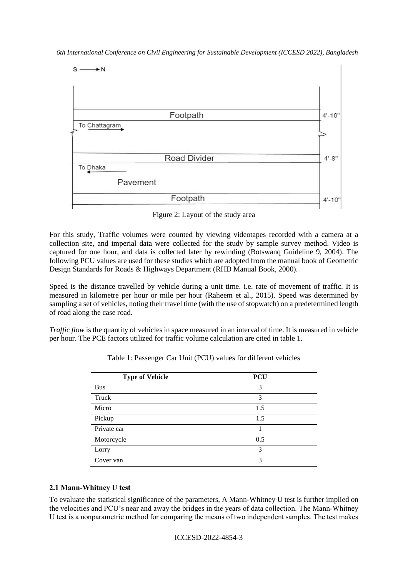

Figure 2: Layout of the study area

For this study, Traffic volumes were counted by viewing videotapes recorded with a camera at a collection site, and imperial data were collected for the study by sample survey method. Video is captured for one hour, and data is collected later by rewinding (Botswanq Guideline 9, 2004). The following PCU values are used for these studies which are adopted from the manual book of Geometric Design Standards for Roads & Highways Department (RHD Manual Book, 2000).

Speed is the distance travelled by vehicle during a unit time. i.e. rate of movement of traffic. It is measured in kilometre per hour or mile per hour (Raheem et al., 2015). Speed was determined by sampling a set of vehicles, noting their travel time (with the use of stopwatch) on a predetermined length of road along the case road.

*Traffic flow* is the quantity of vehicles in space measured in an interval of time. It is measured in vehicle per hour. The PCE factors utilized for traffic volume calculation are cited in table 1.

| <b>Type of Vehicle</b> | <b>PCU</b> |
|------------------------|------------|
| <b>Bus</b>             | 3          |
| Truck                  | 3          |
| Micro                  | 1.5        |
| Pickup                 | 1.5        |
| Private car            |            |
| Motorcycle             | 0.5        |
| Lorry                  | 3          |
| Cover van              | 3          |

Table 1: Passenger Car Unit (PCU) values for different vehicles

### **2.1 Mann-Whitney U test**

To evaluate the statistical significance of the parameters, A Mann-Whitney U test is further implied on the velocities and PCU's near and away the bridges in the years of data collection. The Mann-Whitney U test is a nonparametric method for comparing the means of two independent samples. The test makes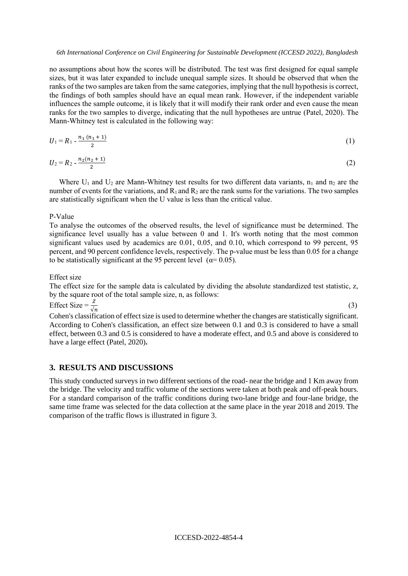no assumptions about how the scores will be distributed. The test was first designed for equal sample sizes, but it was later expanded to include unequal sample sizes. It should be observed that when the ranks of the two samples are taken from the same categories, implying that the null hypothesis is correct, the findings of both samples should have an equal mean rank. However, if the independent variable influences the sample outcome, it is likely that it will modify their rank order and even cause the mean ranks for the two samples to diverge, indicating that the null hypotheses are untrue (Patel, 2020). The Mann-Whitney test is calculated in the following way:

$$
U_1 = R_1 - \frac{n_1 (n_1 + 1)}{2} \tag{1}
$$

$$
U_2 = R_2 - \frac{n_2(n_2 + 1)}{2} \tag{2}
$$

Where  $U_1$  and  $U_2$  are Mann-Whitney test results for two different data variants,  $n_1$  and  $n_2$  are the number of events for the variations, and  $R_1$  and  $R_2$  are the rank sums for the variations. The two samples are statistically significant when the U value is less than the critical value.

#### P-Value

To analyse the outcomes of the observed results, the level of significance must be determined. The significance level usually has a value between 0 and 1. It's worth noting that the most common significant values used by academics are 0.01, 0.05, and 0.10, which correspond to 99 percent, 95 percent, and 90 percent confidence levels, respectively. The p-value must be less than 0.05 for a change to be statistically significant at the 95 percent level ( $\alpha$ = 0.05).

#### Effect size

The effect size for the sample data is calculated by dividing the absolute standardized test statistic, z, by the square root of the total sample size, n, as follows:

(3)

Effect Size =  $\frac{z}{\sqrt{n}}$ 

Cohen's classification of effect size is used to determine whether the changes are statistically significant. According to Cohen's classification, an effect size between 0.1 and 0.3 is considered to have a small effect, between 0.3 and 0.5 is considered to have a moderate effect, and 0.5 and above is considered to have a large effect (Patel, 2020)**.**

### **3. RESULTS AND DISCUSSIONS**

This study conducted surveys in two different sections of the road- near the bridge and 1 Km away from the bridge. The velocity and traffic volume of the sections were taken at both peak and off-peak hours. For a standard comparison of the traffic conditions during two-lane bridge and four-lane bridge, the same time frame was selected for the data collection at the same place in the year 2018 and 2019. The comparison of the traffic flows is illustrated in figure 3.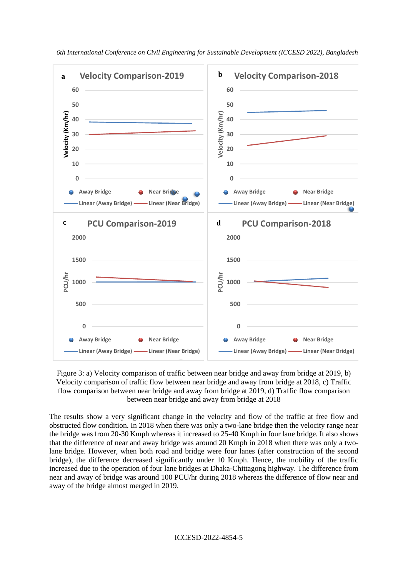

Figure 3: a) Velocity comparison of traffic between near bridge and away from bridge at 2019, b) Velocity comparison of traffic flow between near bridge and away from bridge at 2018, c) Traffic flow comparison between near bridge and away from bridge at 2019, d) Traffic flow comparison between near bridge and away from bridge at 2018

The results show a very significant change in the velocity and flow of the traffic at free flow and obstructed flow condition. In 2018 when there was only a two-lane bridge then the velocity range near the bridge was from 20-30 Kmph whereas it increased to 25-40 Kmph in four lane bridge. It also shows that the difference of near and away bridge was around 20 Kmph in 2018 when there was only a twolane bridge. However, when both road and bridge were four lanes (after construction of the second bridge), the difference decreased significantly under 10 Kmph. Hence, the mobility of the traffic increased due to the operation of four lane bridges at Dhaka-Chittagong highway. The difference from near and away of bridge was around 100 PCU/hr during 2018 whereas the difference of flow near and away of the bridge almost merged in 2019.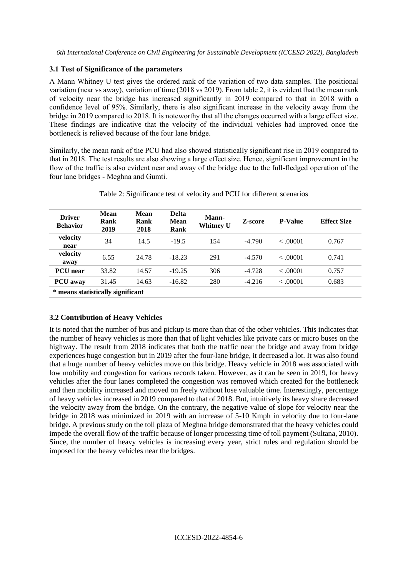### **3.1 Test of Significance of the parameters**

A Mann Whitney U test gives the ordered rank of the variation of two data samples. The positional variation (near vs away), variation of time (2018 vs 2019). From table 2, it is evident that the mean rank of velocity near the bridge has increased significantly in 2019 compared to that in 2018 with a confidence level of 95%. Similarly, there is also significant increase in the velocity away from the bridge in 2019 compared to 2018. It is noteworthy that all the changes occurred with a large effect size. These findings are indicative that the velocity of the individual vehicles had improved once the bottleneck is relieved because of the four lane bridge.

Similarly, the mean rank of the PCU had also showed statistically significant rise in 2019 compared to that in 2018. The test results are also showing a large effect size. Hence, significant improvement in the flow of the traffic is also evident near and away of the bridge due to the full-fledged operation of the four lane bridges - Meghna and Gumti.

| <b>Driver</b><br><b>Behavior</b>  | <b>Mean</b><br>Rank<br>2019 | Mean<br>Rank<br>2018 | <b>Delta</b><br>Mean<br><b>Rank</b> | <b>Mann-</b><br><b>Whitney U</b> | Z-score  | <b>P-Value</b> | <b>Effect Size</b> |
|-----------------------------------|-----------------------------|----------------------|-------------------------------------|----------------------------------|----------|----------------|--------------------|
| velocity<br>near                  | 34                          | 14.5                 | $-19.5$                             | 154                              | $-4.790$ | < .00001       | 0.767              |
| velocity<br>away                  | 6.55                        | 24.78                | $-18.23$                            | 291                              | $-4.570$ | < 0.0001       | 0.741              |
| <b>PCU</b> near                   | 33.82                       | 14.57                | $-19.25$                            | 306                              | $-4.728$ | < 0.0001       | 0.757              |
| <b>PCU</b> away                   | 31.45                       | 14.63                | $-16.82$                            | 280                              | $-4.216$ | < 0.0001       | 0.683              |
| * means statistically significant |                             |                      |                                     |                                  |          |                |                    |

| Table 2: Significance test of velocity and PCU for different scenarios |  |  |  |
|------------------------------------------------------------------------|--|--|--|
|                                                                        |  |  |  |

### **3.2 Contribution of Heavy Vehicles**

It is noted that the number of bus and pickup is more than that of the other vehicles. This indicates that the number of heavy vehicles is more than that of light vehicles like private cars or micro buses on the highway. The result from 2018 indicates that both the traffic near the bridge and away from bridge experiences huge congestion but in 2019 after the four-lane bridge, it decreased a lot. It was also found that a huge number of heavy vehicles move on this bridge. Heavy vehicle in 2018 was associated with low mobility and congestion for various records taken. However, as it can be seen in 2019, for heavy vehicles after the four lanes completed the congestion was removed which created for the bottleneck and then mobility increased and moved on freely without lose valuable time. Interestingly, percentage of heavy vehicles increased in 2019 compared to that of 2018. But, intuitively its heavy share decreased the velocity away from the bridge. On the contrary, the negative value of slope for velocity near the bridge in 2018 was minimized in 2019 with an increase of 5-10 Kmph in velocity due to four-lane bridge. A previous study on the toll plaza of Meghna bridge demonstrated that the heavy vehicles could impede the overall flow of the traffic because of longer processing time of toll payment (Sultana, 2010). Since, the number of heavy vehicles is increasing every year, strict rules and regulation should be imposed for the heavy vehicles near the bridges.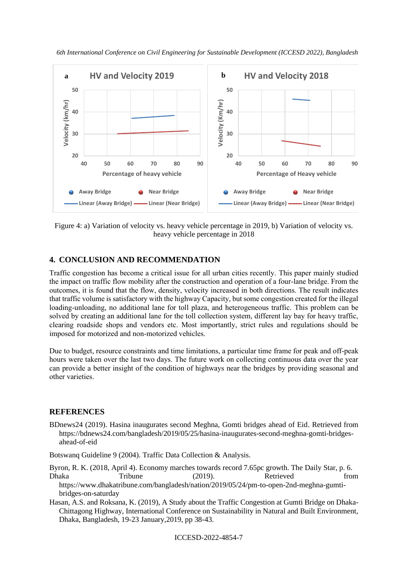



Figure 4: a) Variation of velocity vs. heavy vehicle percentage in 2019, b) Variation of velocity vs. heavy vehicle percentage in 2018

## **4. CONCLUSION AND RECOMMENDATION**

Traffic congestion has become a critical issue for all urban cities recently. This paper mainly studied the impact on traffic flow mobility after the construction and operation of a four-lane bridge. From the outcomes, it is found that the flow, density, velocity increased in both directions. The result indicates that traffic volume is satisfactory with the highway Capacity, but some congestion created for the illegal loading-unloading, no additional lane for toll plaza, and heterogeneous traffic. This problem can be solved by creating an additional lane for the toll collection system, different lay bay for heavy traffic, clearing roadside shops and vendors etc. Most importantly, strict rules and regulations should be imposed for motorized and non-motorized vehicles.

Due to budget, resource constraints and time limitations, a particular time frame for peak and off-peak hours were taken over the last two days. The future work on collecting continuous data over the year can provide a better insight of the condition of highways near the bridges by providing seasonal and other varieties.

### **REFERENCES**

BDnews24 (2019). Hasina inaugurates second Meghna, Gomti bridges ahead of Eid. Retrieved from https://bdnews24.com/bangladesh/2019/05/25/hasina-inaugurates-second-meghna-gomti-bridgesahead-of-eid

Botswanq Guideline 9 (2004). Traffic Data Collection & Analysis.

Byron, R. K. (2018, April 4). Economy marches towards record 7.65pc growth. The Daily Star, p. 6. Dhaka Tribune (2019). Retrieved from https://www.dhakatribune.com/bangladesh/nation/2019/05/24/pm-to-open-2nd-meghna-gumtibridges-on-saturday

Hasan, A.S. and Roksana, K. (2019), A Study about the Traffic Congestion at Gumti Bridge on Dhaka-Chittagong Highway, International Conference on Sustainability in Natural and Built Environment, Dhaka, Bangladesh, 19-23 January,2019, pp 38-43.